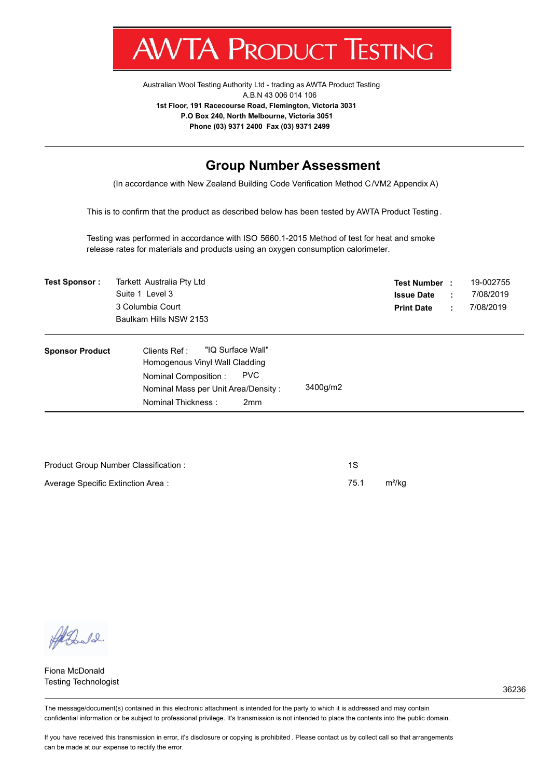

Australian Wool Testing Authority Ltd - trading as AWTA Product Testing A.B.N 43 006 014 106 **1st Floor, 191 Racecourse Road, Flemington, Victoria 3031 P.O Box 240, North Melbourne, Victoria 3051 Phone (03) 9371 2400 Fax (03) 9371 2499**

#### **Group Number Assessment**

(In accordance with New Zealand Building Code Verification Method C/VM2 Appendix A)

This is to confirm that the product as described below has been tested by AWTA Product Testing .

Testing was performed in accordance with ISO 5660.1-2015 Method of test for heat and smoke release rates for materials and products using an oxygen consumption calorimeter.

| <b>Test Sponsor:</b>   | Tarkett Australia Pty Ltd<br>Suite 1 Level 3<br>3 Columbia Court<br>Baulkam Hills NSW 2153                                                                                                |          | <b>Test Number :</b><br><b>Issue Date</b><br><b>Print Date</b> | ÷<br>÷. | 19-002755<br>7/08/2019<br>7/08/2019 |
|------------------------|-------------------------------------------------------------------------------------------------------------------------------------------------------------------------------------------|----------|----------------------------------------------------------------|---------|-------------------------------------|
| <b>Sponsor Product</b> | "IQ Surface Wall"<br>Clients Ref:<br>Homogenous Vinyl Wall Cladding<br><b>PVC</b><br>Nominal Composition:<br>Nominal Mass per Unit Area/Density:<br>Nominal Thickness:<br>2 <sub>mm</sub> | 3400g/m2 |                                                                |         |                                     |

| Product Group Number Classification: |      |                    |
|--------------------------------------|------|--------------------|
| Average Specific Extinction Area:    | 75.1 | m <sup>2</sup> /ka |

All Doctor

Fiona McDonald Testing Technologist

The message/document(s) contained in this electronic attachment is intended for the party to which it is addressed and may contain confidential information or be subject to professional privilege. It's transmission is not intended to place the contents into the public domain.

If you have received this transmission in error, it's disclosure or copying is prohibited . Please contact us by collect call so that arrangements can be made at our expense to rectify the error.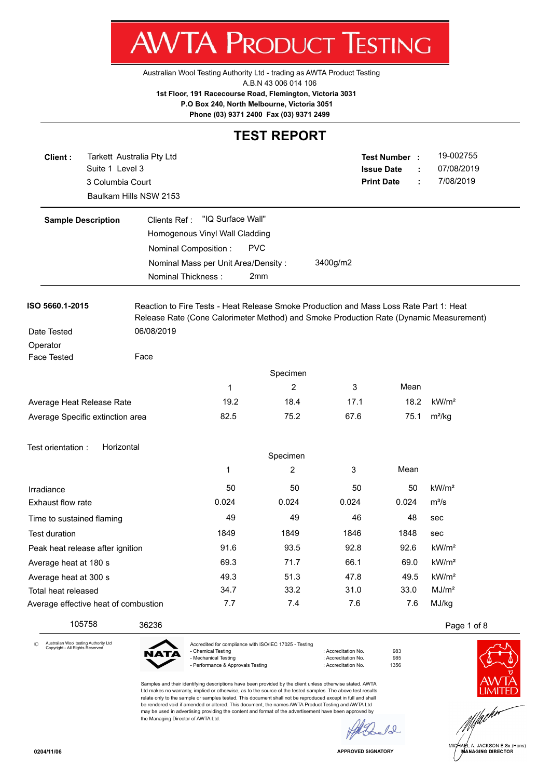**AWTA PRODUCT TESTING** Australian Wool Testing Authority Ltd - trading as AWTA Product Testing

A.B.N 43 006 014 106

**1st Floor, 191 Racecourse Road, Flemington, Victoria 3031**

 **P.O Box 240, North Melbourne, Victoria 3051**

**Phone (03) 9371 2400 Fax (03) 9371 2499**

#### **TEST REPORT**

| Client:<br>Suite 1 Level 3<br>3 Columbia Court | Tarkett Australia Pty Ltd<br>Baulkam Hills NSW 2153 |                   |                                                                                        |          | Test Number :<br><b>Issue Date</b><br><b>Print Date</b> | 19-002755<br>07/08/2019<br>7/08/2019<br>÷                                              |  |
|------------------------------------------------|-----------------------------------------------------|-------------------|----------------------------------------------------------------------------------------|----------|---------------------------------------------------------|----------------------------------------------------------------------------------------|--|
| <b>Sample Description</b>                      | Clients Ref:<br>Homogenous Vinyl Wall Cladding      | "IQ Surface Wall" |                                                                                        |          |                                                         |                                                                                        |  |
|                                                | Nominal Composition :                               |                   | <b>PVC</b>                                                                             |          |                                                         |                                                                                        |  |
|                                                | Nominal Mass per Unit Area/Density:                 |                   |                                                                                        | 3400g/m2 |                                                         |                                                                                        |  |
|                                                | Nominal Thickness:                                  |                   | 2mm                                                                                    |          |                                                         |                                                                                        |  |
| ISO 5660.1-2015                                |                                                     |                   | Reaction to Fire Tests - Heat Release Smoke Production and Mass Loss Rate Part 1: Heat |          |                                                         | Release Rate (Cone Calorimeter Method) and Smoke Production Rate (Dynamic Measurement) |  |
| Date Tested                                    | 06/08/2019                                          |                   |                                                                                        |          |                                                         |                                                                                        |  |
| Operator<br>Face Tested                        | Face                                                |                   |                                                                                        |          |                                                         |                                                                                        |  |
|                                                |                                                     |                   |                                                                                        |          |                                                         |                                                                                        |  |
|                                                |                                                     |                   | Specimen                                                                               |          |                                                         |                                                                                        |  |
|                                                |                                                     | 1                 | 2                                                                                      | 3        | Mean                                                    |                                                                                        |  |
| Average Heat Release Rate                      |                                                     | 19.2              | 18.4                                                                                   | 17.1     | 18.2                                                    | kW/m <sup>2</sup>                                                                      |  |
| Average Specific extinction area               |                                                     | 82.5              | 75.2                                                                                   | 67.6     | 75.1                                                    | $m^2/kg$                                                                               |  |
| Horizontal<br>Test orientation :               |                                                     |                   | Specimen                                                                               |          |                                                         |                                                                                        |  |
|                                                |                                                     | 1                 | 2                                                                                      | 3        | Mean                                                    |                                                                                        |  |
|                                                |                                                     |                   |                                                                                        |          |                                                         |                                                                                        |  |
| Irradiance                                     |                                                     | 50                | 50                                                                                     | 50       | 50                                                      | kW/m <sup>2</sup>                                                                      |  |
| Exhaust flow rate                              |                                                     | 0.024             | 0.024                                                                                  | 0.024    | 0.024                                                   | $m^3/s$                                                                                |  |
| Time to sustained flaming                      |                                                     | 49                | 49                                                                                     | 46       | 48                                                      | sec                                                                                    |  |
| <b>Test duration</b>                           |                                                     | 1849              | 1849                                                                                   | 1846     | 1848                                                    | sec                                                                                    |  |
| Peak heat release after ignition               |                                                     | 91.6              | 93.5                                                                                   | 92.8     | 92.6                                                    | kW/m <sup>2</sup>                                                                      |  |
| Average heat at 180 s                          |                                                     | 69.3              | 71.7                                                                                   | 66.1     | 69.0                                                    | kW/m <sup>2</sup>                                                                      |  |
| Average heat at 300 s                          |                                                     | 49.3              | 51.3                                                                                   | 47.8     | 49.5                                                    | kW/m <sup>2</sup>                                                                      |  |
| Total heat released                            |                                                     | 34.7              | 33.2                                                                                   | 31.0     | 33.0                                                    | MJ/m <sup>2</sup>                                                                      |  |
| Average effective heat of combustion           |                                                     | 7.7               | 7.4                                                                                    | 7.6      | 7.6                                                     | MJ/kg                                                                                  |  |
| 105758                                         | 36236                                               |                   |                                                                                        |          |                                                         | Page 1 of 8                                                                            |  |

Copyright - All Rights Reserved



- Chemical Testing **in Accreditation No.** 983 - Mechanical Testing in a match of the control of Accreditation No. 5985<br>- Performance & Approvals Testing in the control of Accreditation No. 61356 - Performance & Approvals Testing

Samples and their identifying descriptions have been provided by the client unless otherwise stated. AWTA Ltd makes no warranty, implied or otherwise, as to the source of the tested samples. The above test results relate only to the sample or samples tested. This document shall not be reproduced except in full and shall be rendered void if amended or altered. This document, the names AWTA Product Testing and AWTA Ltd may be used in advertising providing the content and format of the advertisement have been approved by the Managing Director of AWTA Ltd.

 $\mathcal{L}$ ñ



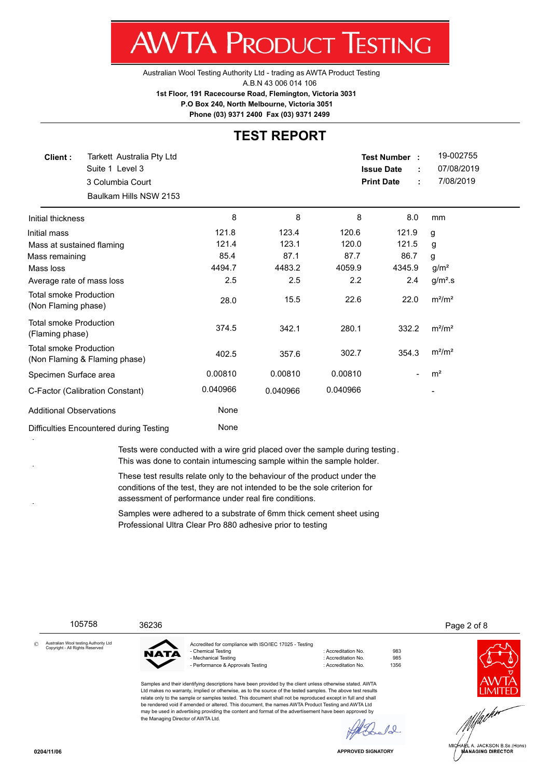Australian Wool Testing Authority Ltd - trading as AWTA Product Testing A.B.N 43 006 014 106 **1st Floor, 191 Racecourse Road, Flemington, Victoria 3031 P.O Box 240, North Melbourne, Victoria 3051**

**Phone (03) 9371 2400 Fax (03) 9371 2499**

#### **TEST REPORT**

| Client:                                              | Tarkett Australia Pty Ltd<br>Suite 1 Level 3<br>3 Columbia Court<br>Baulkam Hills NSW 2153 |          |          |          | Test Number:<br><b>Issue Date</b><br><b>Print Date</b> | 19-002755<br>07/08/2019<br>7/08/2019 |
|------------------------------------------------------|--------------------------------------------------------------------------------------------|----------|----------|----------|--------------------------------------------------------|--------------------------------------|
| Initial thickness                                    |                                                                                            | 8        | 8        | 8        | 8.0                                                    | mm                                   |
| Initial mass                                         |                                                                                            | 121.8    | 123.4    | 120.6    | 121.9                                                  | g                                    |
| Mass at sustained flaming                            |                                                                                            | 121.4    | 123.1    | 120.0    | 121.5                                                  | g                                    |
| Mass remaining                                       |                                                                                            | 85.4     | 87.1     | 87.7     | 86.7                                                   | g                                    |
| Mass loss                                            |                                                                                            | 4494.7   | 4483.2   | 4059.9   | 4345.9                                                 | g/m <sup>2</sup>                     |
| Average rate of mass loss                            |                                                                                            | 2.5      | 2.5      | 2.2      | 2.4                                                    | $g/m2$ .s                            |
| <b>Total smoke Production</b><br>(Non Flaming phase) |                                                                                            | 28.0     | 15.5     | 22.6     | 22.0                                                   | $m^2/m^2$                            |
| <b>Total smoke Production</b><br>(Flaming phase)     |                                                                                            | 374.5    | 342.1    | 280.1    | 332.2                                                  | $m^2/m^2$                            |
| <b>Total smoke Production</b>                        | (Non Flaming & Flaming phase)                                                              | 402.5    | 357.6    | 302.7    | 354.3                                                  | $m^2/m^2$                            |
| Specimen Surface area                                |                                                                                            | 0.00810  | 0.00810  | 0.00810  | $\overline{\phantom{0}}$                               | m <sup>2</sup>                       |
|                                                      | C-Factor (Calibration Constant)                                                            | 0.040966 | 0.040966 | 0.040966 |                                                        |                                      |
| <b>Additional Observations</b>                       |                                                                                            | None     |          |          |                                                        |                                      |
| Difficulties Encountered during Testing              |                                                                                            | None     |          |          |                                                        |                                      |

Tests were conducted with a wire grid placed over the sample during testing . This was done to contain intumescing sample within the sample holder.

These test results relate only to the behaviour of the product under the conditions of the test, they are not intended to be the sole criterion for assessment of performance under real fire conditions.

Samples were adhered to a substrate of 6mm thick cement sheet using Professional Ultra Clear Pro 880 adhesive prior to testing

105758 36236 Page 2 of 8

Australian Wool testing Authority Ltd Copyright - All Rights Reserved ©



the Managing Director of AWTA Ltd.

Accredited for compliance with ISO/IEC 17025 - Testing - Chemical Testing **in Accreditation No.** 983 - Mechanical Testing in a match of the control of Accreditation No. 5985<br>- Performance & Approvals Testing in the control of Accreditation No. 61356 - Performance & Approvals Testing : Accreditation No.

Samples and their identifying descriptions have been provided by the client unless otherwise stated. AWTA Ltd makes no warranty, implied or otherwise, as to the source of the tested samples. The above test results relate only to the sample or samples tested. This document shall not be reproduced except in full and shall be rendered void if amended or altered. This document, the names AWTA Product Testing and AWTA Ltd may be used in advertising providing the content and format of the advertisement have been approved by



**APPROVED SIGNATORY**

 $10<sup>°</sup>$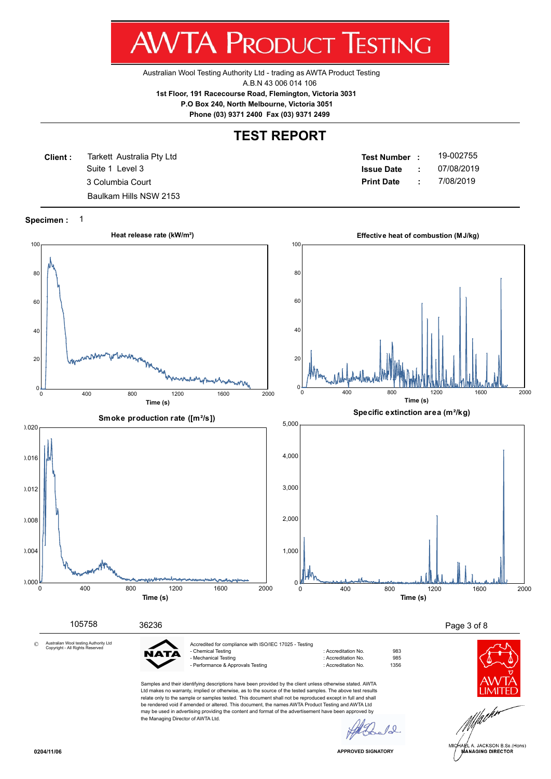Australian Wool Testing Authority Ltd - trading as AWTA Product Testing A.B.N 43 006 014 106 **1st Floor, 191 Racecourse Road, Flemington, Victoria 3031**

 **P.O Box 240, North Melbourne, Victoria 3051**

**Phone (03) 9371 2400 Fax (03) 9371 2499**

### **TEST REPORT**

**Client :** Suite 1 Level 3 Tarkett Australia Pty Ltd Baulkam Hills NSW 2153

**Test Number : Issue Date :** 19-002755 3 Columbia Court **Print Date :** 7/08/2019 07/08/2019

**Specimen :** 1



JACKSON B.Sc.(Hons) **ANAGING DIRECTOR**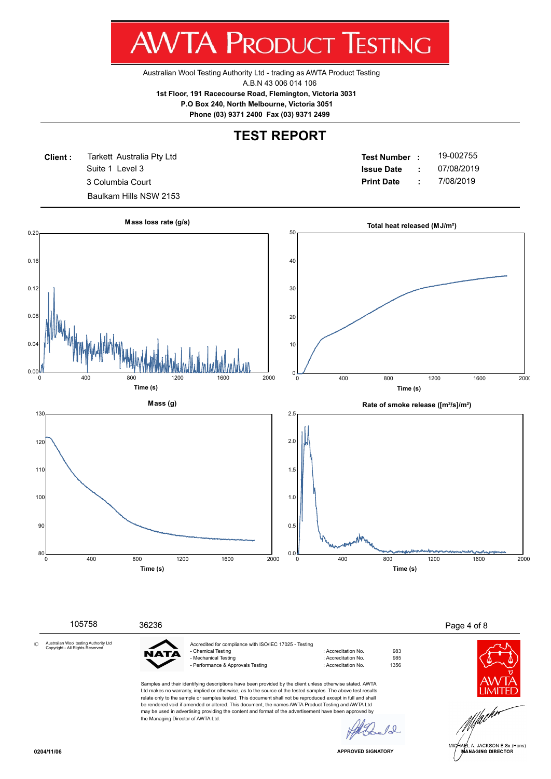Australian Wool Testing Authority Ltd - trading as AWTA Product Testing A.B.N 43 006 014 106 **1st Floor, 191 Racecourse Road, Flemington, Victoria 3031 P.O Box 240, North Melbourne, Victoria 3051**

**Phone (03) 9371 2400 Fax (03) 9371 2499**

## **TEST REPORT**

**Client :** Suite 1 Level 3 Tarkett Australia Pty Ltd Baulkam Hills NSW 2153

**Test Number : Issue Date :** 19-002755 3 Columbia Court **Print Date :** 7/08/2019 07/08/2019

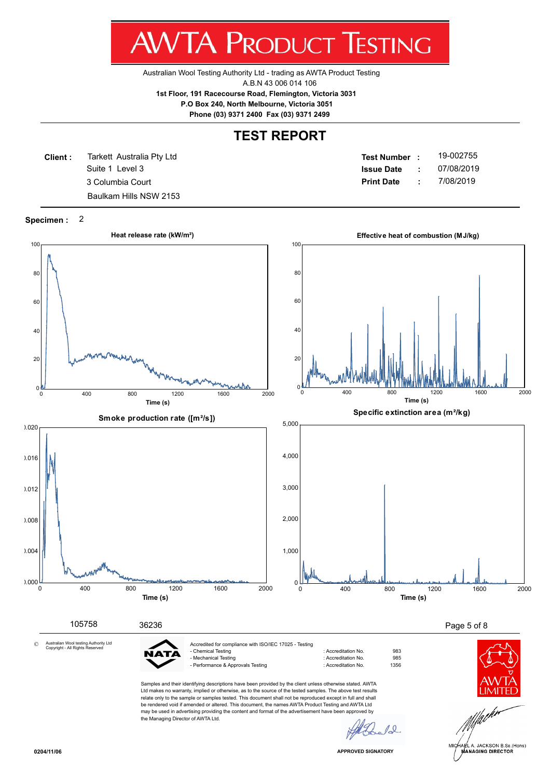Australian Wool Testing Authority Ltd - trading as AWTA Product Testing A.B.N 43 006 014 106 **1st Floor, 191 Racecourse Road, Flemington, Victoria 3031**

 **P.O Box 240, North Melbourne, Victoria 3051**

**Phone (03) 9371 2400 Fax (03) 9371 2499**

#### **TEST REPORT**

**Client :** Suite 1 Level 3 Tarkett Australia Pty Ltd Baulkam Hills NSW 2153

**Test Number : Issue Date :** 19-002755 3 Columbia Court **Print Date :** 7/08/2019 07/08/2019

**Specimen :** 2



JACKSON B.Sc.(Hons) **ANAGING DIRECTOR**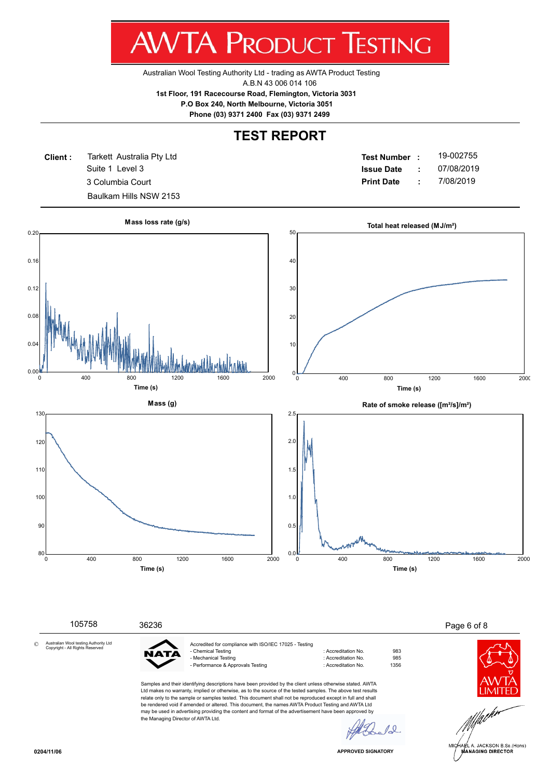Australian Wool Testing Authority Ltd - trading as AWTA Product Testing A.B.N 43 006 014 106 **1st Floor, 191 Racecourse Road, Flemington, Victoria 3031 P.O Box 240, North Melbourne, Victoria 3051**

**Phone (03) 9371 2400 Fax (03) 9371 2499**

## **TEST REPORT**

**Client :** Suite 1 Level 3 Tarkett Australia Pty Ltd Baulkam Hills NSW 2153

**Test Number : Issue Date :** 19-002755 3 Columbia Court **Print Date :** 7/08/2019 07/08/2019

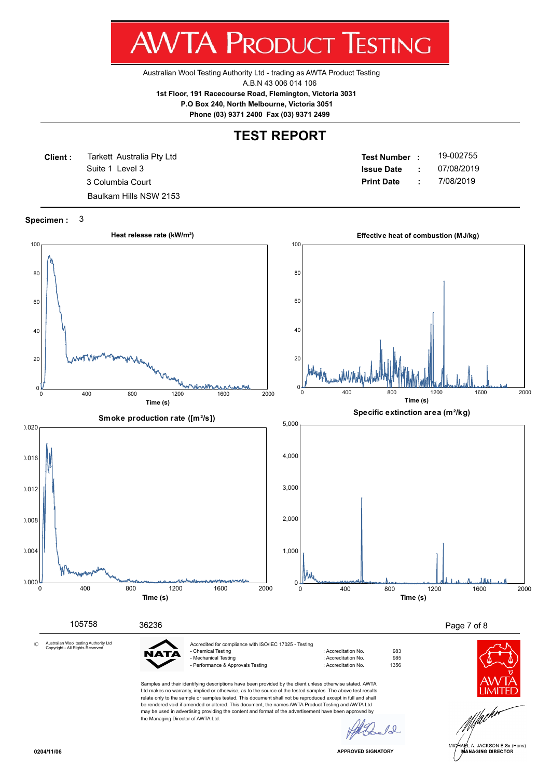Australian Wool Testing Authority Ltd - trading as AWTA Product Testing A.B.N 43 006 014 106 **1st Floor, 191 Racecourse Road, Flemington, Victoria 3031**

 **P.O Box 240, North Melbourne, Victoria 3051**

**Phone (03) 9371 2400 Fax (03) 9371 2499**

### **TEST REPORT**

**Client :** Suite 1 Level 3 Tarkett Australia Pty Ltd Baulkam Hills NSW 2153

**Test Number : Issue Date :** 19-002755 3 Columbia Court **Print Date :** 7/08/2019 07/08/2019

**Specimen :** 3



JACKSON B.Sc.(Hons) **ANAGING DIRECTOR**